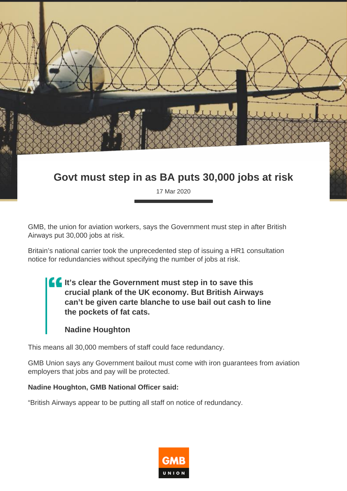

## **Govt must step in as BA puts 30,000 jobs at risk**

17 Mar 2020

GMB, the union for aviation workers, says the Government must step in after British Airways put 30,000 jobs at risk.

Britain's national carrier took the unprecedented step of issuing a HR1 consultation notice for redundancies without specifying the number of jobs at risk.

**If** It's clear the Government must step in to save this **crucial plank of the UK economy. But British Airways can't be given carte blanche to use bail out cash to line the pockets of fat cats.**

## **Nadine Houghton**

This means all 30,000 members of staff could face redundancy.

GMB Union says any Government bailout must come with iron guarantees from aviation employers that jobs and pay will be protected.

## **Nadine Houghton, GMB National Officer said:**

"British Airways appear to be putting all staff on notice of redundancy.